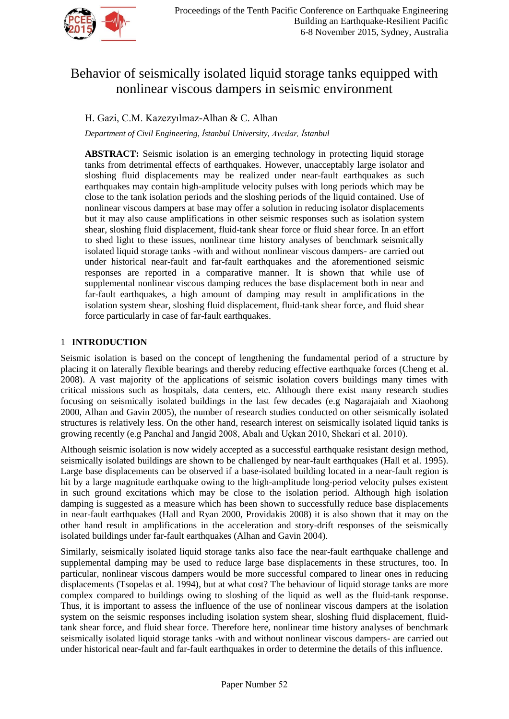

# Behavior of seismically isolated liquid storage tanks equipped with nonlinear viscous dampers in seismic environment

## H. Gazi, C.M. Kazezyılmaz-Alhan & C. Alhan

*Department of Civil Engineering, İstanbul University, Avcılar, İstanbul*

**ABSTRACT:** Seismic isolation is an emerging technology in protecting liquid storage tanks from detrimental effects of earthquakes. However, unacceptably large isolator and sloshing fluid displacements may be realized under near-fault earthquakes as such earthquakes may contain high-amplitude velocity pulses with long periods which may be close to the tank isolation periods and the sloshing periods of the liquid contained. Use of nonlinear viscous dampers at base may offer a solution in reducing isolator displacements but it may also cause amplifications in other seismic responses such as isolation system shear, sloshing fluid displacement, fluid-tank shear force or fluid shear force. In an effort to shed light to these issues, nonlinear time history analyses of benchmark seismically isolated liquid storage tanks -with and without nonlinear viscous dampers- are carried out under historical near-fault and far-fault earthquakes and the aforementioned seismic responses are reported in a comparative manner. It is shown that while use of supplemental nonlinear viscous damping reduces the base displacement both in near and far-fault earthquakes, a high amount of damping may result in amplifications in the isolation system shear, sloshing fluid displacement, fluid-tank shear force, and fluid shear force particularly in case of far-fault earthquakes.

## 1 **INTRODUCTION**

Seismic isolation is based on the concept of lengthening the fundamental period of a structure by placing it on laterally flexible bearings and thereby reducing effective earthquake forces (Cheng et al. 2008). A vast majority of the applications of seismic isolation covers buildings many times with critical missions such as hospitals, data centers, etc. Although there exist many research studies focusing on seismically isolated buildings in the last few decades (e.g Nagarajaiah and Xiaohong 2000, Alhan and Gavin 2005), the number of research studies conducted on other seismically isolated structures is relatively less. On the other hand, research interest on seismically isolated liquid tanks is growing recently (e.g Panchal and Jangid 2008, Abalı and Uçkan 2010, Shekari et al. 2010).

Although seismic isolation is now widely accepted as a successful earthquake resistant design method, seismically isolated buildings are shown to be challenged by near-fault earthquakes (Hall et al. 1995). Large base displacements can be observed if a base-isolated building located in a near-fault region is hit by a large magnitude earthquake owing to the high-amplitude long-period velocity pulses existent in such ground excitations which may be close to the isolation period. Although high isolation damping is suggested as a measure which has been shown to successfully reduce base displacements in near-fault earthquakes (Hall and Ryan 2000, Providakis 2008) it is also shown that it may on the other hand result in amplifications in the acceleration and story-drift responses of the seismically isolated buildings under far-fault earthquakes (Alhan and Gavin 2004).

Similarly, seismically isolated liquid storage tanks also face the near-fault earthquake challenge and supplemental damping may be used to reduce large base displacements in these structures, too. In particular, nonlinear viscous dampers would be more successful compared to linear ones in reducing displacements (Tsopelas et al. 1994), but at what cost? The behaviour of liquid storage tanks are more complex compared to buildings owing to sloshing of the liquid as well as the fluid-tank response. Thus, it is important to assess the influence of the use of nonlinear viscous dampers at the isolation system on the seismic responses including isolation system shear, sloshing fluid displacement, fluidtank shear force, and fluid shear force. Therefore here, nonlinear time history analyses of benchmark seismically isolated liquid storage tanks -with and without nonlinear viscous dampers- are carried out under historical near-fault and far-fault earthquakes in order to determine the details of this influence.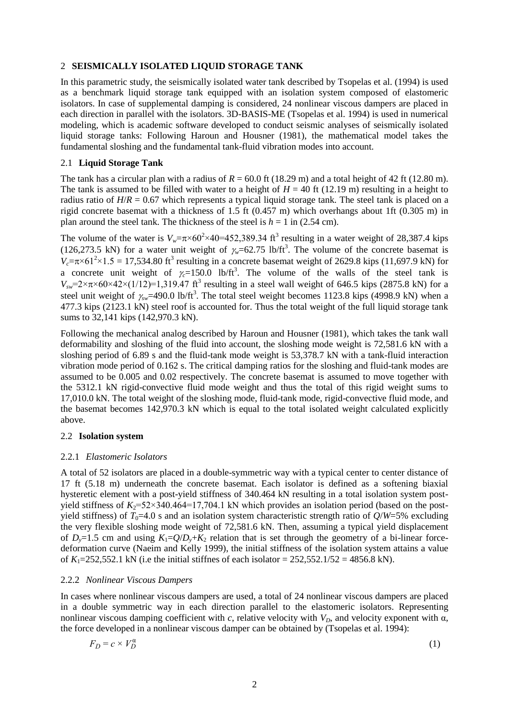#### 2 **SEISMICALLY ISOLATED LIQUID STORAGE TANK**

In this parametric study, the seismically isolated water tank described by Tsopelas et al. (1994) is used as a benchmark liquid storage tank equipped with an isolation system composed of elastomeric isolators. In case of supplemental damping is considered, 24 nonlinear viscous dampers are placed in each direction in parallel with the isolators. 3D-BASIS-ME (Tsopelas et al. 1994) is used in numerical modeling, which is academic software developed to conduct seismic analyses of seismically isolated liquid storage tanks: Following Haroun and Housner (1981), the mathematical model takes the fundamental sloshing and the fundamental tank-fluid vibration modes into account.

### 2.1 **Liquid Storage Tank**

The tank has a circular plan with a radius of  $R = 60.0$  ft (18.29 m) and a total height of 42 ft (12.80 m). The tank is assumed to be filled with water to a height of  $H = 40$  ft (12.19 m) resulting in a height to radius ratio of  $H/R = 0.67$  which represents a typical liquid storage tank. The steel tank is placed on a rigid concrete basemat with a thickness of 1.5 ft (0.457 m) which overhangs about 1ft (0.305 m) in plan around the steel tank. The thickness of the steel is  $h = 1$  in (2.54 cm).

The volume of the water is  $V_w = \pi \times 60^2 \times 40 = 452,389.34 \text{ ft}^3$  resulting in a water weight of 28,387.4 kips (126,273.5 kN) for a water unit weight of  $\gamma_{w}=62.75$  lb/ft<sup>3</sup>. The volume of the concrete basemat is  $V_c = \pi \times 61^2 \times 1.5 = 17,534.80$  ft<sup>3</sup> resulting in a concrete basemat weight of 2629.8 kips (11,697.9 kN) for a concrete unit weight of  $\gamma_c = 150.0$  lb/ft<sup>3</sup>. The volume of the walls of the steel tank is  $V_{sw}$ =2× $\pi$ ×60×42×(1/12)=1,319.47 ft<sup>3</sup> resulting in a steel wall weight of 646.5 kips (2875.8 kN) for a steel unit weight of  $\gamma_{sw}$ =490.0 lb/ft<sup>3</sup>. The total steel weight becomes 1123.8 kips (4998.9 kN) when a 477.3 kips (2123.1 kN) steel roof is accounted for. Thus the total weight of the full liquid storage tank sums to 32,141 kips (142,970.3 kN).

Following the mechanical analog described by Haroun and Housner (1981), which takes the tank wall deformability and sloshing of the fluid into account, the sloshing mode weight is 72,581.6 kN with a sloshing period of 6.89 s and the fluid-tank mode weight is 53,378.7 kN with a tank-fluid interaction vibration mode period of 0.162 s. The critical damping ratios for the sloshing and fluid-tank modes are assumed to be 0.005 and 0.02 respectively. The concrete basemat is assumed to move together with the 5312.1 kN rigid-convective fluid mode weight and thus the total of this rigid weight sums to 17,010.0 kN. The total weight of the sloshing mode, fluid-tank mode, rigid-convective fluid mode, and the basemat becomes 142,970.3 kN which is equal to the total isolated weight calculated explicitly above.

#### 2.2 **Isolation system**

#### 2.2.1 *Elastomeric Isolators*

A total of 52 isolators are placed in a double-symmetric way with a typical center to center distance of 17 ft (5.18 m) underneath the concrete basemat. Each isolator is defined as a softening biaxial hysteretic element with a post-yield stiffness of 340.464 kN resulting in a total isolation system postyield stiffness of  $K_2$ =52×340.464=17,704.1 kN which provides an isolation period (based on the postyield stiffness) of  $T_0$ =4.0 s and an isolation system characteristic strength ratio of  $Q/W$ =5% excluding the very flexible sloshing mode weight of 72,581.6 kN. Then, assuming a typical yield displacement of  $D_y=1.5$  cm and using  $K_1=Q/D_y+K_2$  relation that is set through the geometry of a bi-linear forcedeformation curve (Naeim and Kelly 1999), the initial stiffness of the isolation system attains a value of  $K_1 = 252,552.1$  kN (i.e the initial stiffnes of each isolator =  $252,552.1/52 = 4856.8$  kN).

#### 2.2.2 *Nonlinear Viscous Dampers*

In cases where nonlinear viscous dampers are used, a total of 24 nonlinear viscous dampers are placed in a double symmetric way in each direction parallel to the elastomeric isolators. Representing nonlinear viscous damping coefficient with *c*, relative velocity with  $V<sub>D</sub>$ , and velocity exponent with  $\alpha$ , the force developed in a nonlinear viscous damper can be obtained by (Tsopelas et al. 1994):

$$
F_D = c \times V_D^a \tag{1}
$$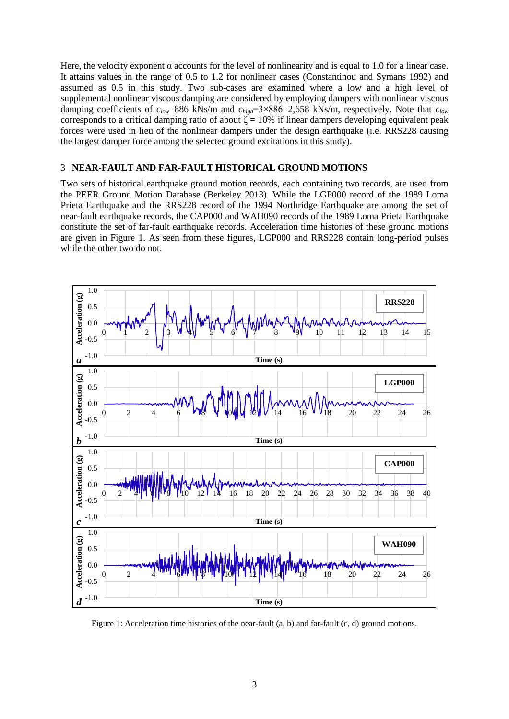Here, the velocity exponent  $\alpha$  accounts for the level of nonlinearity and is equal to 1.0 for a linear case. It attains values in the range of 0.5 to 1.2 for nonlinear cases (Constantinou and Symans 1992) and assumed as 0.5 in this study. Two sub-cases are examined where a low and a high level of supplemental nonlinear viscous damping are considered by employing dampers with nonlinear viscous damping coefficients of *clow*=886 kNs/m and *chigh*=3×886=2,658 kNs/m, respectively. Note that *clow* corresponds to a critical damping ratio of about  $\zeta = 10\%$  if linear dampers developing equivalent peak forces were used in lieu of the nonlinear dampers under the design earthquake (i.e. RRS228 causing the largest damper force among the selected ground excitations in this study).

#### 3 **NEAR-FAULT AND FAR-FAULT HISTORICAL GROUND MOTIONS**

Two sets of historical earthquake ground motion records, each containing two records, are used from the PEER Ground Motion Database (Berkeley 2013). While the LGP000 record of the 1989 Loma Prieta Earthquake and the RRS228 record of the 1994 Northridge Earthquake are among the set of near-fault earthquake records, the CAP000 and WAH090 records of the 1989 Loma Prieta Earthquake constitute the set of far-fault earthquake records. Acceleration time histories of these ground motions are given in Figure 1. As seen from these figures, LGP000 and RRS228 contain long-period pulses while the other two do not.



Figure 1: Acceleration time histories of the near-fault (a, b) and far-fault (c, d) ground motions.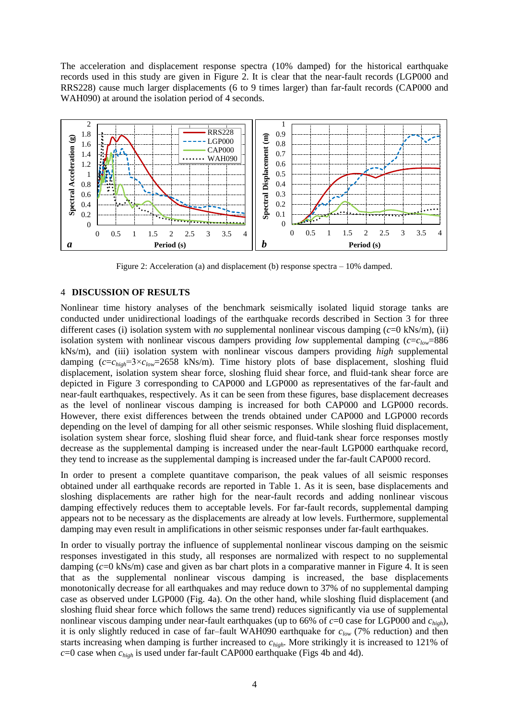The acceleration and displacement response spectra (10% damped) for the historical earthquake records used in this study are given in Figure 2. It is clear that the near-fault records (LGP000 and RRS228) cause much larger displacements (6 to 9 times larger) than far-fault records (CAP000 and WAH090) at around the isolation period of 4 seconds.



Figure 2: Acceleration (a) and displacement (b) response spectra – 10% damped.

#### 4 **DISCUSSION OF RESULTS**

Nonlinear time history analyses of the benchmark seismically isolated liquid storage tanks are conducted under unidirectional loadings of the earthquake records described in Section 3 for three different cases (i) isolation system with *no* supplemental nonlinear viscous damping (*c*=0 kNs/m), (ii) isolation system with nonlinear viscous dampers providing *low* supplemental damping (*c*=*clow*=886 kNs/m), and (iii) isolation system with nonlinear viscous dampers providing *high* supplemental damping (*c*=*chigh*=3×*clow*=2658 kNs/m). Time history plots of base displacement, sloshing fluid displacement, isolation system shear force, sloshing fluid shear force, and fluid-tank shear force are depicted in Figure 3 corresponding to CAP000 and LGP000 as representatives of the far-fault and near-fault earthquakes, respectively. As it can be seen from these figures, base displacement decreases as the level of nonlinear viscous damping is increased for both CAP000 and LGP000 records. However, there exist differences between the trends obtained under CAP000 and LGP000 records depending on the level of damping for all other seismic responses. While sloshing fluid displacement, isolation system shear force, sloshing fluid shear force, and fluid-tank shear force responses mostly decrease as the supplemental damping is increased under the near-fault LGP000 earthquake record, they tend to increase as the supplemental damping is increased under the far-fault CAP000 record.

In order to present a complete quantitave comparison, the peak values of all seismic responses obtained under all earthquake records are reported in Table 1. As it is seen, base displacements and sloshing displacements are rather high for the near-fault records and adding nonlinear viscous damping effectively reduces them to acceptable levels. For far-fault records, supplemental damping appears not to be necessary as the displacements are already at low levels. Furthermore, supplemental damping may even result in amplifications in other seismic responses under far-fault earthquakes.

In order to visually portray the influence of supplemental nonlinear viscous damping on the seismic responses investigated in this study, all responses are normalized with respect to no supplemental damping (*c*=0 kNs/m) case and given as bar chart plots in a comparative manner in Figure 4. It is seen that as the supplemental nonlinear viscous damping is increased, the base displacements monotonically decrease for all earthquakes and may reduce down to 37% of no supplemental damping case as observed under LGP000 (Fig. 4a). On the other hand, while sloshing fluid displacement (and sloshing fluid shear force which follows the same trend) reduces significantly via use of supplemental nonlinear viscous damping under near-fault earthquakes (up to 66% of  $c=0$  case for LGP000 and  $c_{high}$ ), it is only slightly reduced in case of far–fault WAH090 earthquake for *clow* (7% reduction) and then starts increasing when damping is further increased to *chigh*. More strikingly it is increased to 121% of *c*=0 case when *chigh* is used under far-fault CAP000 earthquake (Figs 4b and 4d).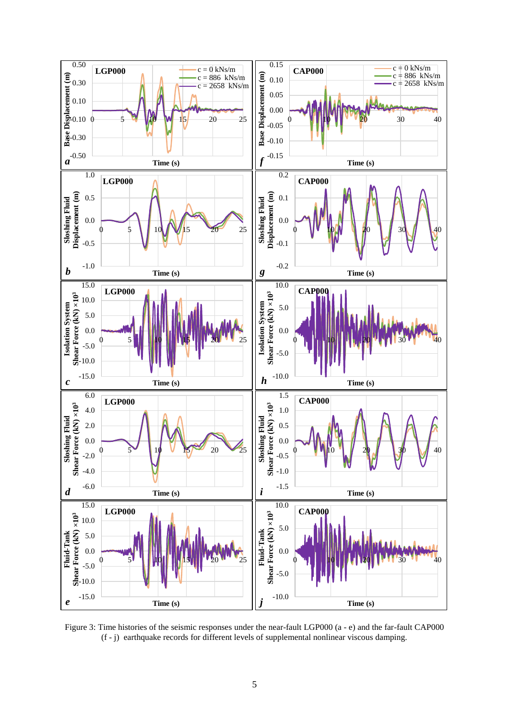

Figure 3: Time histories of the seismic responses under the near-fault LGP000 (a - e) and the far-fault CAP000 (f - j) earthquake records for different levels of supplemental nonlinear viscous damping.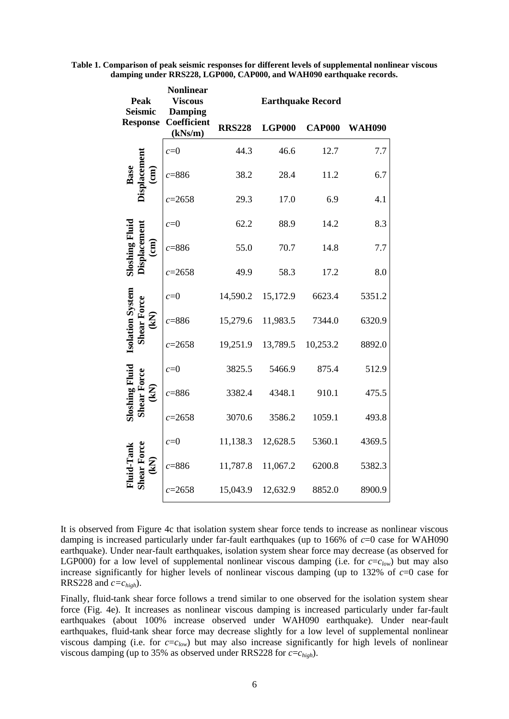| Peak<br><b>Seismic</b>                                        | <b>Nonlinear</b><br><b>Viscous</b><br><b>Damping</b> | <b>Earthquake Record</b> |               |               |               |
|---------------------------------------------------------------|------------------------------------------------------|--------------------------|---------------|---------------|---------------|
| <b>Response</b>                                               | Coefficient<br>(kNs/m)                               | <b>RRS228</b>            | <b>LGP000</b> | <b>CAP000</b> | <b>WAH090</b> |
| <b>Displacement</b><br>$\widehat{(\mathbf{m})}$               | $c=0$                                                | 44.3                     | 46.6          | 12.7          | 7.7           |
|                                                               | $c = 886$                                            | 38.2                     | 28.4          | 11.2          | 6.7           |
|                                                               | $c = 2658$                                           | 29.3                     | 17.0          | 6.9           | 4.1           |
| <b>Displacemen</b><br>Sloshing Fl<br>$\widehat{\textbf{em}}$  | $c=0$                                                | 62.2                     | 88.9          | 14.2          | 8.3           |
|                                                               | $c = 886$                                            | 55.0                     | 70.7          | 14.8          | 7.7           |
|                                                               | $c = 2658$                                           | 49.9                     | 58.3          | 17.2          | 8.0           |
| Isolation System<br><b>Shear Force</b><br>$\bf \widetilde{B}$ | $c=0$                                                | 14,590.2                 | 15,172.9      | 6623.4        | 5351.2        |
|                                                               | $c = 886$                                            | 15,279.6                 | 11,983.5      | 7344.0        | 6320.9        |
|                                                               | $c = 2658$                                           | 19,251.9                 | 13,789.5      | 10,253.2      | 8892.0        |
| Sloshing Fluid<br><b>Shear Force</b><br>$\mathbf{K}$          | $c=0$                                                | 3825.5                   | 5466.9        | 875.4         | 512.9         |
|                                                               | $c = 886$                                            | 3382.4                   | 4348.1        | 910.1         | 475.5         |
|                                                               | $c = 2658$                                           | 3070.6                   | 3586.2        | 1059.1        | 493.8         |
| <b>Shear Force</b><br>$mid$ -Tan $i$<br>$\bf \Xi$             | $c=0$                                                | 11,138.3                 | 12,628.5      | 5360.1        | 4369.5        |
|                                                               | $c = 886$                                            | 11,787.8                 | 11,067.2      | 6200.8        | 5382.3        |
|                                                               | $c = 2658$                                           | 15,043.9                 | 12,632.9      | 8852.0        | 8900.9        |

**Table 1. Comparison of peak seismic responses for different levels of supplemental nonlinear viscous damping under RRS228, LGP000, CAP000, and WAH090 earthquake records.**

It is observed from Figure 4c that isolation system shear force tends to increase as nonlinear viscous damping is increased particularly under far-fault earthquakes (up to 166% of *c*=0 case for WAH090 earthquake). Under near-fault earthquakes, isolation system shear force may decrease (as observed for LGP000) for a low level of supplemental nonlinear viscous damping (i.e. for  $c = c_{low}$ ) but may also increase significantly for higher levels of nonlinear viscous damping (up to 132% of *c*=0 case for RRS228 and  $c = c_{high}$ ).

Finally, fluid-tank shear force follows a trend similar to one observed for the isolation system shear force (Fig. 4e). It increases as nonlinear viscous damping is increased particularly under far-fault earthquakes (about 100% increase observed under WAH090 earthquake). Under near-fault earthquakes, fluid-tank shear force may decrease slightly for a low level of supplemental nonlinear viscous damping (i.e. for  $c = c_{low}$ ) but may also increase significantly for high levels of nonlinear viscous damping (up to 35% as observed under RRS228 for *c*=*chigh*).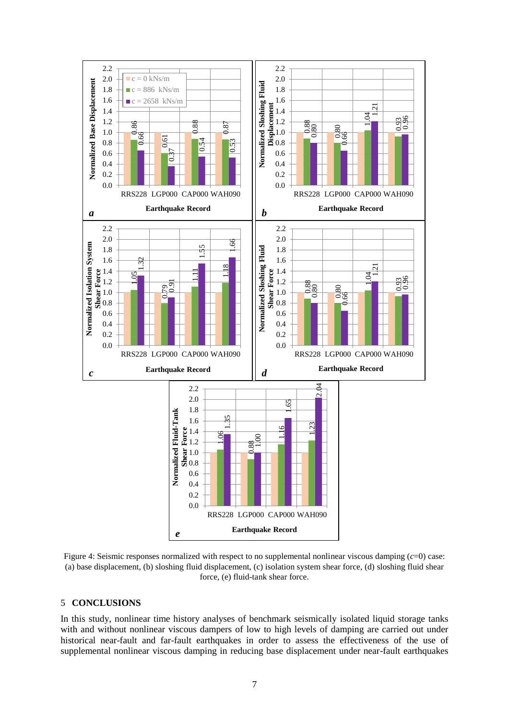

Figure 4: Seismic responses normalized with respect to no supplemental nonlinear viscous damping (*c*=0) case: (a) base displacement, (b) sloshing fluid displacement, (c) isolation system shear force, (d) sloshing fluid shear force, (e) fluid-tank shear force.

#### 5 **CONCLUSIONS**

In this study, nonlinear time history analyses of benchmark seismically isolated liquid storage tanks with and without nonlinear viscous dampers of low to high levels of damping are carried out under historical near-fault and far-fault earthquakes in order to assess the effectiveness of the use of